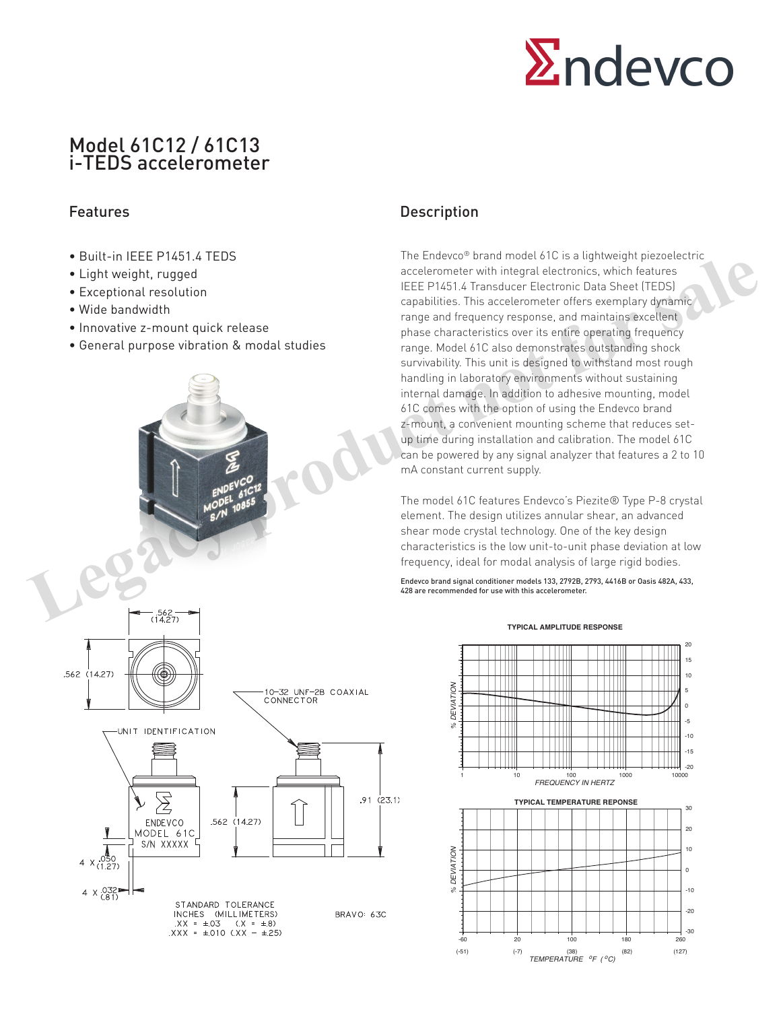

# Model 61C12 / 61C13 i-TEDS accelerometer

- Built-in IFFF P1451.4 TFDS
- Light weight, rugged
- Exceptional resolution
- Wide bandwidth
- Innovative z-mount quick release
- General purpose vibration & modal studies

# **Legacy Acceleration**<br> **Legacy acceleration**<br> **Legacy acceleration**<br> **Legacy acceleration**<br> **Legacy Acceleration**<br> **Legacy of the bandwidth**<br> **Legacy of the bandwidth**<br> **Legacy of the control to a second purific during the** .562 (14.27) 10-32 UNF-2B COAXIAL<br>CONNECTOR UNIT IDENTIFICATION  $\sum$  $.91(23.1)$ .562 (14.27) ENDEVCO MODEL 61C Y S/N XXXXX  $4 \times 0.050$ <br>(1.27)  $4 \times ^{0.0324}_{(0.1)}$ STANDARD TOLERANCE<br>INCHES (MILLIMETERS) BRAVO: 63C  $XX = \pm 03$   $(X = \pm 8)$ <br> $XXX = \pm 010$   $XX - \pm 25$

## Features **Description**

The Endevco® brand model 61C is a lightweight piezoelectric accelerometer with integral electronics, which features IEEE P1451.4 Transducer Electronic Data Sheet (TEDS) capabilities. This accelerometer offers exemplary dynamic range and frequency response, and maintains excellent phase characteristics over its entire operating frequency range. Model 61C also demonstrates outstanding shock survivability. This unit is designed to withstand most rough handling in laboratory environments without sustaining internal damage. In addition to adhesive mounting, model 61C comes with the option of using the Endevco brand z-mount, a convenient mounting scheme that reduces setup time during installation and calibration. The model 61C can be powered by any signal analyzer that features a 2 to 10 mA constant current supply.

The model 61C features Endevco's Piezite® Type P-8 crystal element. The design utilizes annular shear, an advanced shear mode crystal technology. One of the key design characteristics is the low unit-to-unit phase deviation at low frequency, ideal for modal analysis of large rigid bodies.

Endevco brand signal conditioner models 133, 2792B, 2793, 4416B or Oasis 482A, 433, 428 are recommended for use with this accelerometer.

#### **TYPICAL AMPLITUDE RESPONSE**

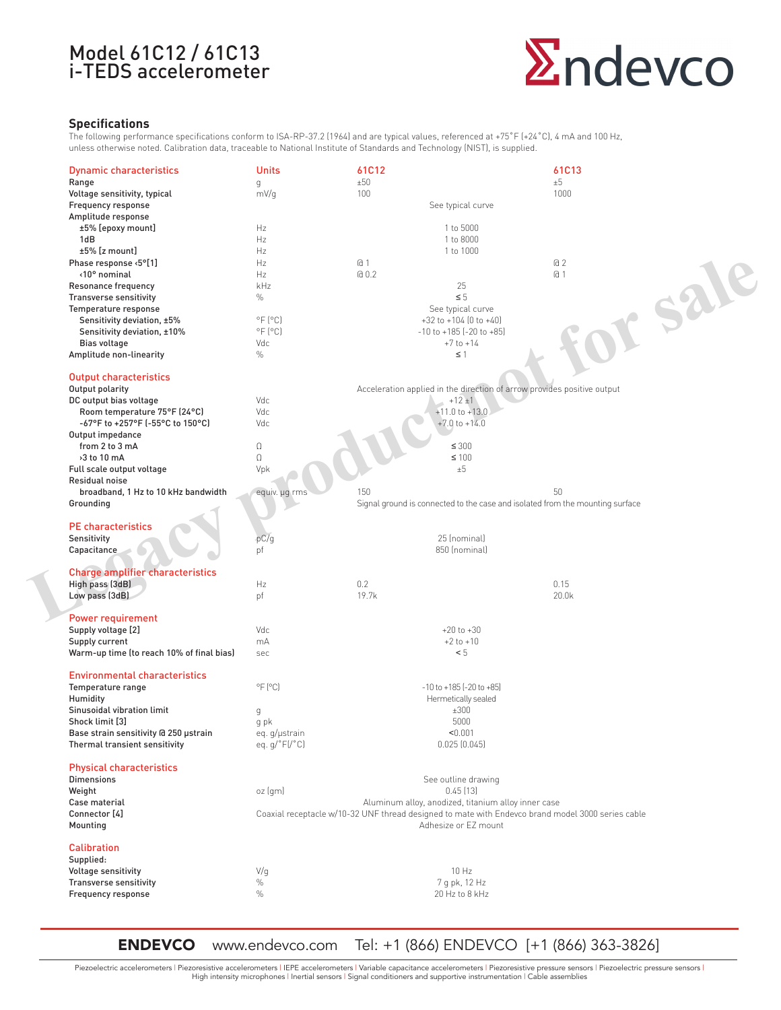# Model 61C12 / 61C13 i-TEDS accelerometer



### **Specifications**

The following performance specifications conform to ISA-RP-37.2 (1964) and are typical values, referenced at +75°F (+24°C), 4 mA and 100 Hz, unless otherwise noted. Calibration data, traceable to National Institute of Standards and Technology (NIST), is supplied.

| <b>Dynamic characteristics</b>            | <b>Units</b>                   | 61C12          |                                                                         | 61C13                                                                                             |         |
|-------------------------------------------|--------------------------------|----------------|-------------------------------------------------------------------------|---------------------------------------------------------------------------------------------------|---------|
| Range                                     | g                              | ±50            |                                                                         | ±5                                                                                                |         |
| Voltage sensitivity, typical              | mV/g                           | 100            |                                                                         | 1000                                                                                              |         |
| Frequency response                        |                                |                | See typical curve                                                       |                                                                                                   |         |
| Amplitude response                        |                                |                |                                                                         |                                                                                                   |         |
| ±5% [epoxy mount]                         | Hz                             |                | 1 to 5000                                                               |                                                                                                   |         |
| 1dB                                       | Hz                             |                | 1 to 8000                                                               |                                                                                                   |         |
| ±5% [z mount]                             | Hz                             |                | 1 to 1000                                                               |                                                                                                   |         |
| Phase response <5°[1]                     | Hz                             | a <sub>1</sub> |                                                                         | a <sub>2</sub>                                                                                    |         |
| <10° nominal                              | Hz                             | @0.2           |                                                                         | a <sub>1</sub>                                                                                    |         |
| Resonance frequency                       | kHz                            |                | 25                                                                      |                                                                                                   |         |
| Transverse sensitivity                    | $\%$                           |                | $\leq 5$                                                                |                                                                                                   |         |
| Temperature response                      |                                |                | See typical curve                                                       |                                                                                                   |         |
| Sensitivity deviation, ±5%                | $^{\circ}$ F $[^{\circ}$ C $]$ |                | $+32$ to $+104$ (0 to $+40$ )                                           |                                                                                                   |         |
| Sensitivity deviation, ±10%               | $^{\circ}$ F $[^{\circ}$ C $]$ |                | $-10$ to $+185$ $[-20$ to $+85]$                                        |                                                                                                   |         |
| Bias voltage                              | Vdc                            |                | $+7$ to $+14$                                                           |                                                                                                   |         |
| Amplitude non-linearity                   | $\%$                           |                | $\leq$ 1                                                                |                                                                                                   | or sale |
|                                           |                                |                |                                                                         |                                                                                                   |         |
| <b>Output characteristics</b>             |                                |                |                                                                         |                                                                                                   |         |
| Output polarity                           |                                |                | Acceleration applied in the direction of arrow provides positive output |                                                                                                   |         |
| DC output bias voltage                    | Vdc                            |                | $+12 \pm 1$                                                             |                                                                                                   |         |
| Room temperature 75°F (24°C)              | Vdc                            |                | $+11.0$ to $+13.0$                                                      |                                                                                                   |         |
| -67°F to +257°F (-55°C to 150°C)          | Vdc                            |                | $+7.0$ to $+14.0$                                                       |                                                                                                   |         |
| Output impedance                          |                                |                |                                                                         |                                                                                                   |         |
| from 2 to 3 mA                            | $\Omega$                       |                | $\leq 300$                                                              |                                                                                                   |         |
| >3 to 10 mA                               | $\Omega$                       |                | $\leq 100$                                                              |                                                                                                   |         |
| Full scale output voltage                 | Vpk                            |                | ±5                                                                      |                                                                                                   |         |
| Residual noise                            |                                |                |                                                                         |                                                                                                   |         |
| broadband, 1 Hz to 10 kHz bandwidth       | equiv. µg rms                  | 150            |                                                                         | 50                                                                                                |         |
| Grounding                                 |                                |                |                                                                         | Signal ground is connected to the case and isolated from the mounting surface                     |         |
| <b>PE</b> characteristics                 |                                |                |                                                                         |                                                                                                   |         |
| Sensitivity                               | pC/g                           |                | 25 (nominal)                                                            |                                                                                                   |         |
| Capacitance                               | pf                             |                | 850 (nominal)                                                           |                                                                                                   |         |
|                                           |                                |                |                                                                         |                                                                                                   |         |
| <b>Charge amplifier characteristics</b>   |                                |                |                                                                         |                                                                                                   |         |
| High pass (3dB)                           | Hz                             | 0.2            |                                                                         | 0.15                                                                                              |         |
| Low pass (3dB)                            | pf                             | 19.7k          |                                                                         | 20.0k                                                                                             |         |
|                                           |                                |                |                                                                         |                                                                                                   |         |
| <b>Power requirement</b>                  |                                |                |                                                                         |                                                                                                   |         |
| Supply voltage [2]                        | Vdc                            |                | $+20$ to $+30$                                                          |                                                                                                   |         |
| Supply current                            | mA                             |                | $+2$ to $+10$                                                           |                                                                                                   |         |
| Warm-up time (to reach 10% of final bias) | sec                            |                | < 5                                                                     |                                                                                                   |         |
|                                           |                                |                |                                                                         |                                                                                                   |         |
| <b>Environmental characteristics</b>      |                                |                |                                                                         |                                                                                                   |         |
| Temperature range                         | $^{\circ}$ F $(^{\circ}$ C)    |                | $-10$ to $+185$ $[-20$ to $+85]$                                        |                                                                                                   |         |
| Humidity                                  |                                |                | Hermetically sealed                                                     |                                                                                                   |         |
| Sinusoidal vibration limit                | g                              |                | ±300                                                                    |                                                                                                   |         |
| Shock limit [3]                           | g pk                           |                | 5000                                                                    |                                                                                                   |         |
| Base strain sensitivity @ 250 µstrain     | eq. g/µstrain                  |                | < 0.001                                                                 |                                                                                                   |         |
| Thermal transient sensitivity             | eq.g/°F[/°C]                   |                | 0.025(0.045)                                                            |                                                                                                   |         |
|                                           |                                |                |                                                                         |                                                                                                   |         |
| <b>Physical characteristics</b>           |                                |                |                                                                         |                                                                                                   |         |
| <b>Dimensions</b>                         |                                |                | See outline drawing                                                     |                                                                                                   |         |
| Weight                                    | oz (gm)                        |                | 0.45[13]                                                                |                                                                                                   |         |
| Case material                             |                                |                | Aluminum alloy, anodized, titanium alloy inner case                     |                                                                                                   |         |
| Connector [4]                             |                                |                |                                                                         | Coaxial receptacle w/10-32 UNF thread designed to mate with Endevco brand model 3000 series cable |         |
| Mounting                                  |                                |                | Adhesize or EZ mount                                                    |                                                                                                   |         |
|                                           |                                |                |                                                                         |                                                                                                   |         |
| <b>Calibration</b>                        |                                |                |                                                                         |                                                                                                   |         |
| Supplied:                                 |                                |                |                                                                         |                                                                                                   |         |
| Voltage sensitivity                       | V/q                            |                | 10 Hz                                                                   |                                                                                                   |         |
| Transverse sensitivity                    | $\%$                           |                | 7 g pk, 12 Hz                                                           |                                                                                                   |         |
| Frequency response                        | $\%$                           |                | 20 Hz to 8 kHz                                                          |                                                                                                   |         |
|                                           |                                |                |                                                                         |                                                                                                   |         |

ENDEVCO www.endevco.com Tel: +1 (866) ENDEVCO [+1 (866) 363-3826]

Piezoelectric accelerometers | Piezoresistive accelerometers | IEPE accelerometers | Variable capacitance accelerometers | Piezoresistive pressure sensors | Piezoelectric pressure sensors | High intensity microphones | Inertial sensors | Signal conditioners and supportive instrumentation | Cable assemblies